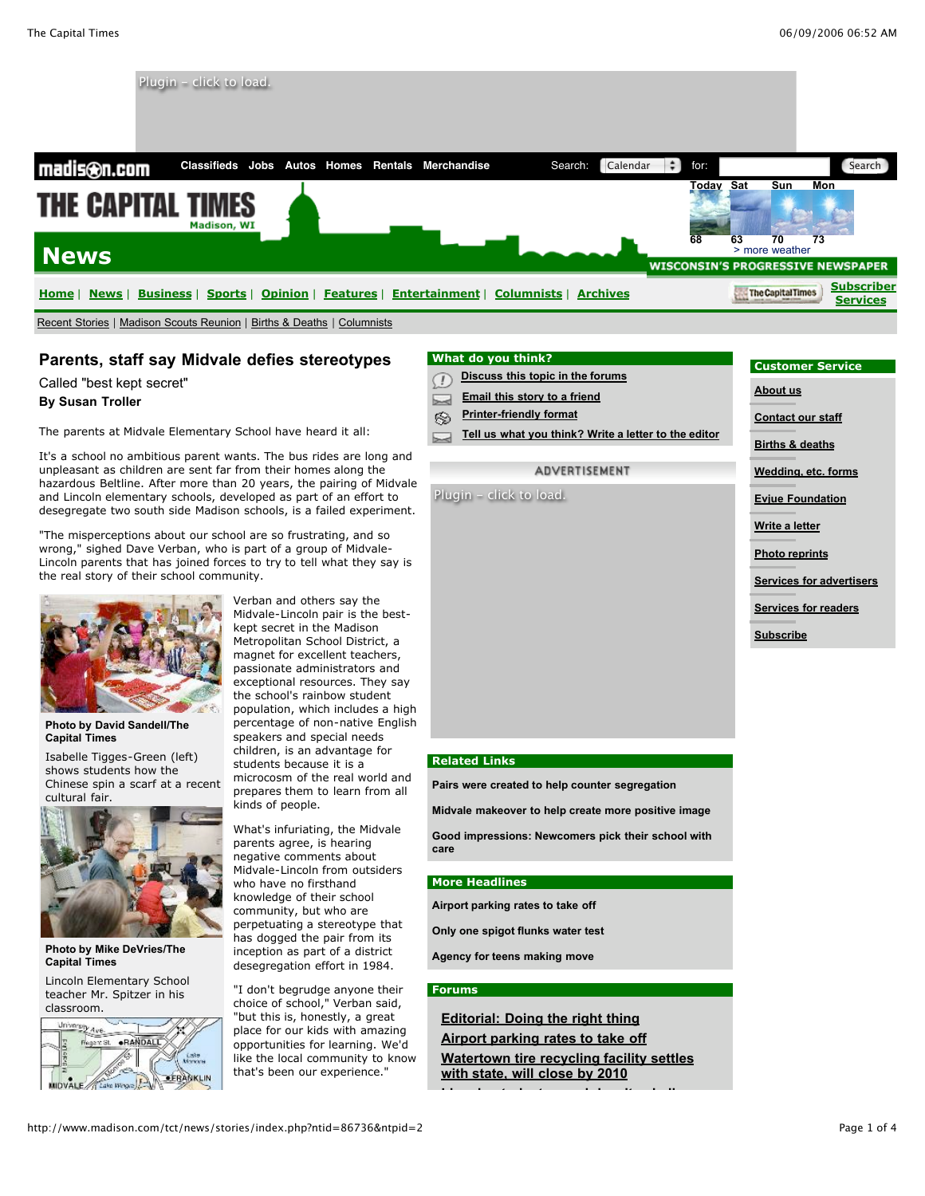

# **Parents, staff say Midvale defies stereotypes**

Called "best kept secret"

#### **By Susan Troller**

The parents at Midvale Elementary School have heard it all:

It's a school no ambitious parent wants. The bus rides are long and unpleasant as children are sent far from their homes along the hazardous Beltline. After more than 20 years, the pairing of Midvale and Lincoln elementary schools, developed as part of an effort to desegregate two south side Madison schools, is a failed experiment.

"The misperceptions about our school are so frustrating, and so wrong," sighed Dave Verban, who is part of a group of Midvale-Lincoln parents that has joined forces to try to tell what they say is the real story of their school community.



**Photo by David Sandell/The Capital Times**

Isabelle Tigges-Green (left) shows students how the Chinese spin a scarf at a recent cultural fair.



**Photo by Mike DeVries/The Capital Times**

Lincoln Elementary School teacher Mr. Spitzer in his classroom.



Verban and others say the Midvale-Lincoln pair is the bestkept secret in the Madison Metropolitan School District, a magnet for excellent teachers. passionate administrators and exceptional resources. They say the school's rainbow student population, which includes a high percentage of non-native English speakers and special needs children, is an advantage for students because it is a microcosm of the real world and prepares them to learn from all kinds of people.

What's infuriating, the Midvale parents agree, is hearing negative comments about Midvale-Lincoln from outsiders who have no firsthand knowledge of their school community, but who are perpetuating a stereotype that has dogged the pair from its inception as part of a district desegregation effort in 1984.

"I don't begrudge anyone their choice of school," Verban said, "but this is, honestly, a great place for our kids with amazing opportunities for learning. We'd like the local community to know that's been our experience."

## **What do you think?**

- ∩ **Discuss this topic in the forums**
- **Email this story to a friend**
- **Printer-friendly format** ⊗
- **Tell us what you think? Write a letter to the editor**

#### ADVERTISEMENT

Plugin - click to load.

### **Customer Service**

**About us**

**Contact our staff**

**Births & deaths**

**Wedding, etc. forms**

**Evjue Foundation**

**Write a letter**

**Photo reprints**

**Services for advertisers**

**Services for readers**

**Subscribe**

#### **Related Links**

**Pairs were created to help counter segregation**

**Midvale makeover to help create more positive image**

**Good impressions: Newcomers pick their school with care**

#### **More Headlines**

**Airport parking rates to take off**

**Only one spigot flunks water test**

**Agency for teens making move**

#### **Forums**

**Editorial: Doing the right thing Airport parking rates to take off**

**Watertown tire recycling facility settles with state, will close by 2010**

**Lincoln students excel despite challenges**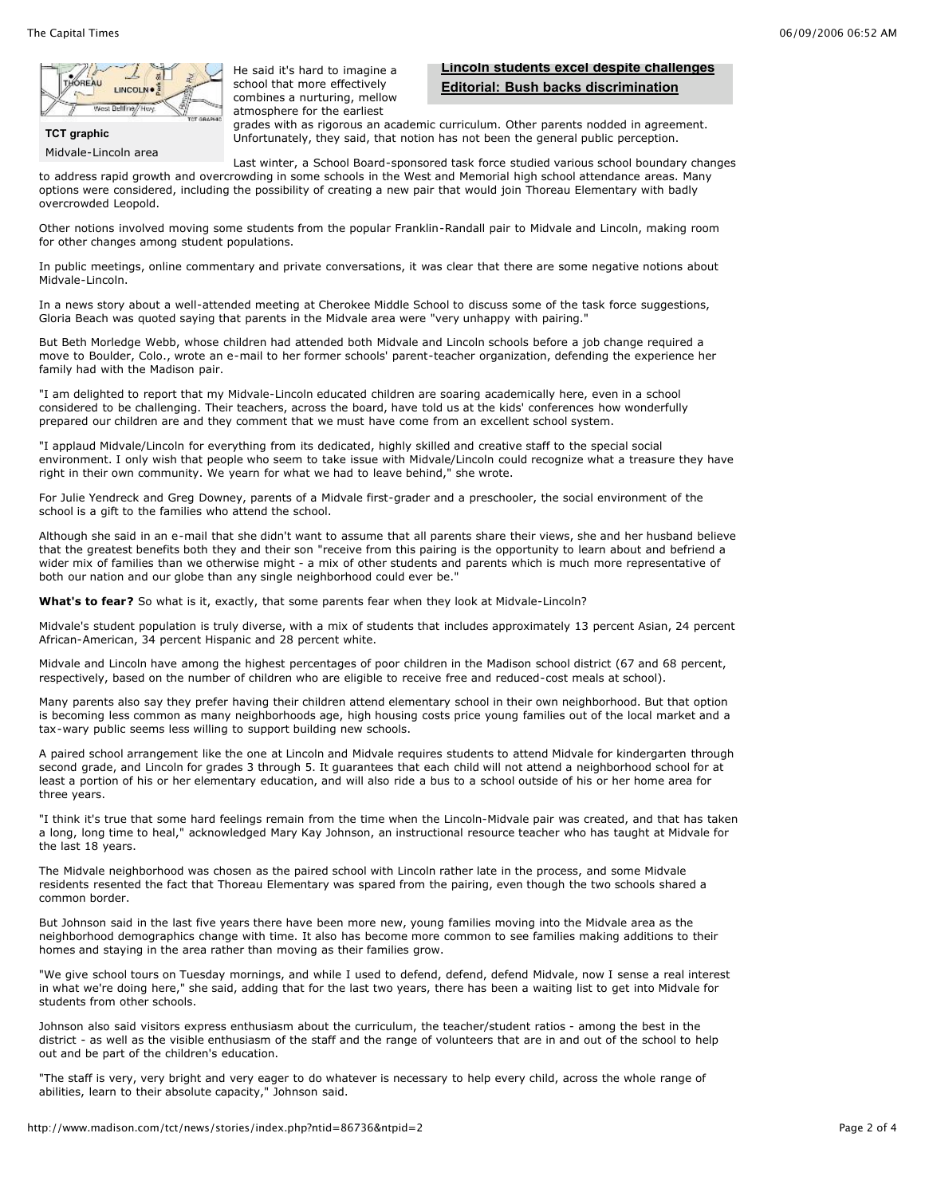

**TCT graphic**

Midvale-Lincoln area

He said it's hard to imagine a school that more effectively combines a nurturing, mellow atmosphere for the earliest

# **Lincoln students excel despite challenges Editorial: Bush backs discrimination**

grades with as rigorous an academic curriculum. Other parents nodded in agreement. Unfortunately, they said, that notion has not been the general public perception.

Last winter, a School Board-sponsored task force studied various school boundary changes to address rapid growth and overcrowding in some schools in the West and Memorial high school attendance areas. Many options were considered, including the possibility of creating a new pair that would join Thoreau Elementary with badly overcrowded Leopold.

Other notions involved moving some students from the popular Franklin-Randall pair to Midvale and Lincoln, making room for other changes among student populations.

In public meetings, online commentary and private conversations, it was clear that there are some negative notions about Midvale-Lincoln.

In a news story about a well-attended meeting at Cherokee Middle School to discuss some of the task force suggestions, Gloria Beach was quoted saying that parents in the Midvale area were "very unhappy with pairing."

But Beth Morledge Webb, whose children had attended both Midvale and Lincoln schools before a job change required a move to Boulder, Colo., wrote an e-mail to her former schools' parent-teacher organization, defending the experience her family had with the Madison pair.

"I am delighted to report that my Midvale-Lincoln educated children are soaring academically here, even in a school considered to be challenging. Their teachers, across the board, have told us at the kids' conferences how wonderfully prepared our children are and they comment that we must have come from an excellent school system.

"I applaud Midvale/Lincoln for everything from its dedicated, highly skilled and creative staff to the special social environment. I only wish that people who seem to take issue with Midvale/Lincoln could recognize what a treasure they have right in their own community. We yearn for what we had to leave behind," she wrote.

For Julie Yendreck and Greg Downey, parents of a Midvale first-grader and a preschooler, the social environment of the school is a gift to the families who attend the school.

Although she said in an e-mail that she didn't want to assume that all parents share their views, she and her husband believe that the greatest benefits both they and their son "receive from this pairing is the opportunity to learn about and befriend a wider mix of families than we otherwise might - a mix of other students and parents which is much more representative of both our nation and our globe than any single neighborhood could ever be."

**What's to fear?** So what is it, exactly, that some parents fear when they look at Midvale-Lincoln?

Midvale's student population is truly diverse, with a mix of students that includes approximately 13 percent Asian, 24 percent African-American, 34 percent Hispanic and 28 percent white.

Midvale and Lincoln have among the highest percentages of poor children in the Madison school district (67 and 68 percent, respectively, based on the number of children who are eligible to receive free and reduced-cost meals at school).

Many parents also say they prefer having their children attend elementary school in their own neighborhood. But that option is becoming less common as many neighborhoods age, high housing costs price young families out of the local market and a tax-wary public seems less willing to support building new schools.

A paired school arrangement like the one at Lincoln and Midvale requires students to attend Midvale for kindergarten through second grade, and Lincoln for grades 3 through 5. It guarantees that each child will not attend a neighborhood school for at least a portion of his or her elementary education, and will also ride a bus to a school outside of his or her home area for three years.

"I think it's true that some hard feelings remain from the time when the Lincoln-Midvale pair was created, and that has taken a long, long time to heal," acknowledged Mary Kay Johnson, an instructional resource teacher who has taught at Midvale for the last 18 years.

The Midvale neighborhood was chosen as the paired school with Lincoln rather late in the process, and some Midvale residents resented the fact that Thoreau Elementary was spared from the pairing, even though the two schools shared a common border.

But Johnson said in the last five years there have been more new, young families moving into the Midvale area as the neighborhood demographics change with time. It also has become more common to see families making additions to their homes and staying in the area rather than moving as their families grow.

"We give school tours on Tuesday mornings, and while I used to defend, defend, defend Midvale, now I sense a real interest in what we're doing here," she said, adding that for the last two years, there has been a waiting list to get into Midvale for students from other schools.

Johnson also said visitors express enthusiasm about the curriculum, the teacher/student ratios - among the best in the district - as well as the visible enthusiasm of the staff and the range of volunteers that are in and out of the school to help out and be part of the children's education.

"The staff is very, very bright and very eager to do whatever is necessary to help every child, across the whole range of abilities, learn to their absolute capacity," Johnson said.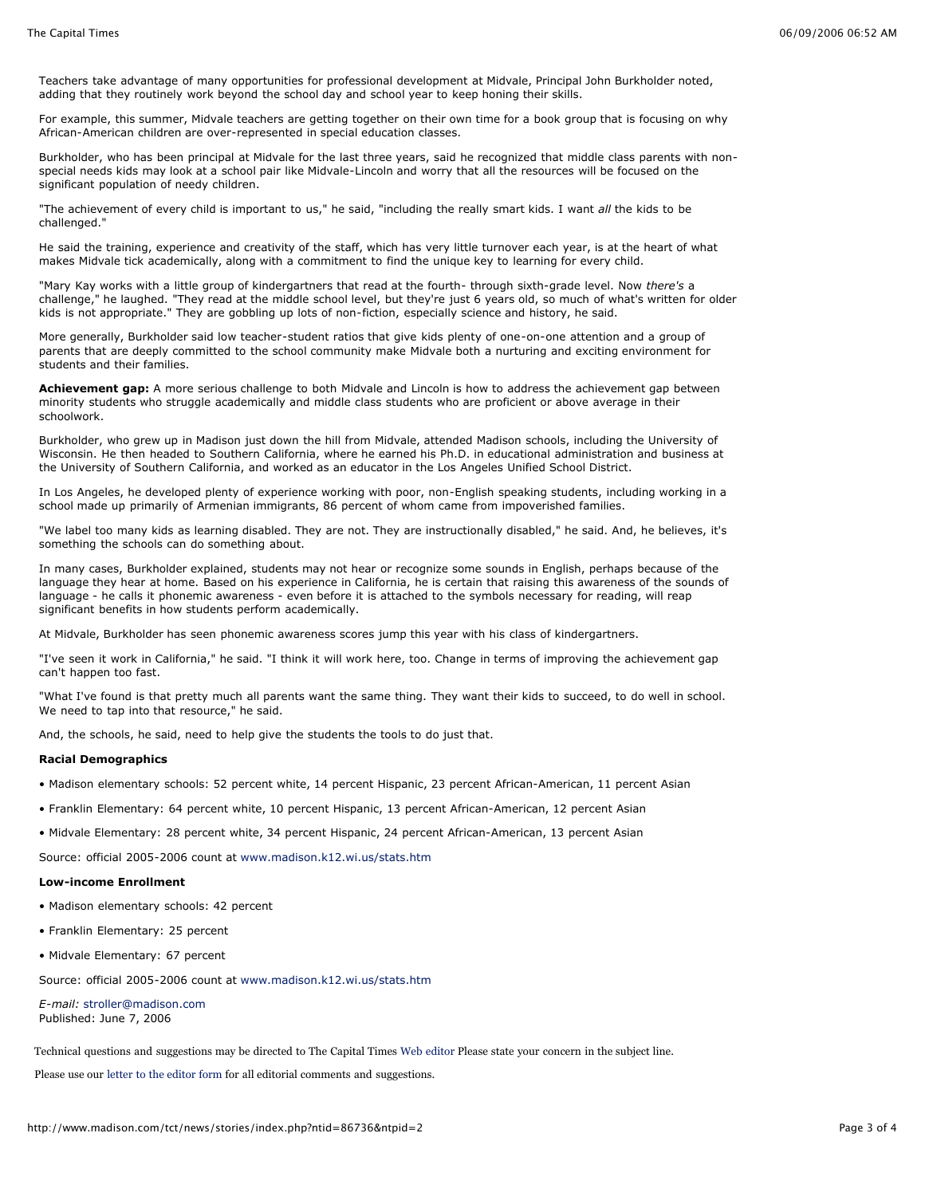Teachers take advantage of many opportunities for professional development at Midvale, Principal John Burkholder noted, adding that they routinely work beyond the school day and school year to keep honing their skills.

For example, this summer, Midvale teachers are getting together on their own time for a book group that is focusing on why African-American children are over-represented in special education classes.

Burkholder, who has been principal at Midvale for the last three years, said he recognized that middle class parents with nonspecial needs kids may look at a school pair like Midvale-Lincoln and worry that all the resources will be focused on the significant population of needy children.

"The achievement of every child is important to us," he said, "including the really smart kids. I want *all* the kids to be challenged."

He said the training, experience and creativity of the staff, which has very little turnover each year, is at the heart of what makes Midvale tick academically, along with a commitment to find the unique key to learning for every child.

"Mary Kay works with a little group of kindergartners that read at the fourth- through sixth-grade level. Now *there's* a challenge," he laughed. "They read at the middle school level, but they're just 6 years old, so much of what's written for older kids is not appropriate." They are gobbling up lots of non-fiction, especially science and history, he said.

More generally, Burkholder said low teacher-student ratios that give kids plenty of one-on-one attention and a group of parents that are deeply committed to the school community make Midvale both a nurturing and exciting environment for students and their families.

**Achievement gap:** A more serious challenge to both Midvale and Lincoln is how to address the achievement gap between minority students who struggle academically and middle class students who are proficient or above average in their schoolwork.

Burkholder, who grew up in Madison just down the hill from Midvale, attended Madison schools, including the University of Wisconsin. He then headed to Southern California, where he earned his Ph.D. in educational administration and business at the University of Southern California, and worked as an educator in the Los Angeles Unified School District.

In Los Angeles, he developed plenty of experience working with poor, non-English speaking students, including working in a school made up primarily of Armenian immigrants, 86 percent of whom came from impoverished families.

"We label too many kids as learning disabled. They are not. They are instructionally disabled," he said. And, he believes, it's something the schools can do something about.

In many cases, Burkholder explained, students may not hear or recognize some sounds in English, perhaps because of the language they hear at home. Based on his experience in California, he is certain that raising this awareness of the sounds of language - he calls it phonemic awareness - even before it is attached to the symbols necessary for reading, will reap significant benefits in how students perform academically.

At Midvale, Burkholder has seen phonemic awareness scores jump this year with his class of kindergartners.

"I've seen it work in California," he said. "I think it will work here, too. Change in terms of improving the achievement gap can't happen too fast.

"What I've found is that pretty much all parents want the same thing. They want their kids to succeed, to do well in school. We need to tap into that resource," he said.

And, the schools, he said, need to help give the students the tools to do just that.

#### **Racial Demographics**

- Madison elementary schools: 52 percent white, 14 percent Hispanic, 23 percent African-American, 11 percent Asian
- Franklin Elementary: 64 percent white, 10 percent Hispanic, 13 percent African-American, 12 percent Asian
- Midvale Elementary: 28 percent white, 34 percent Hispanic, 24 percent African-American, 13 percent Asian

Source: official 2005-2006 count at www.madison.k12.wi.us/stats.htm

#### **Low-income Enrollment**

- Madison elementary schools: 42 percent
- Franklin Elementary: 25 percent
- Midvale Elementary: 67 percent

Source: official 2005-2006 count at www.madison.k12.wi.us/stats.htm

*E-mail:* stroller@madison.com Published: June 7, 2006

Technical questions and suggestions may be directed to The Capital Times Web editor Please state your concern in the subject line.

Please use our letter to the editor form for all editorial comments and suggestions.